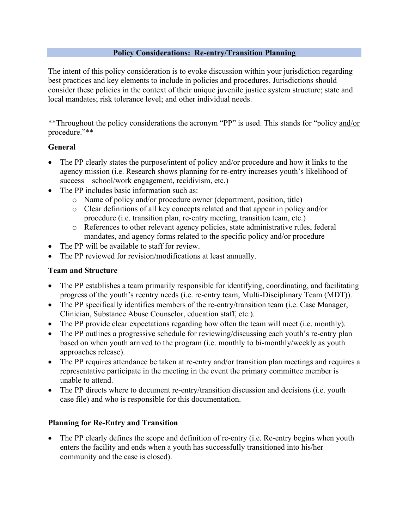#### **Policy Considerations: Re-entry/Transition Planning**

The intent of this policy consideration is to evoke discussion within your jurisdiction regarding best practices and key elements to include in policies and procedures. Jurisdictions should consider these policies in the context of their unique juvenile justice system structure; state and local mandates; risk tolerance level; and other individual needs.

\*\*Throughout the policy considerations the acronym "PP" is used. This stands for "policy and/or procedure."\*\*

#### **General**

- The PP clearly states the purpose/intent of policy and/or procedure and how it links to the agency mission (i.e. Research shows planning for re-entry increases youth's likelihood of success – school/work engagement, recidivism, etc.)
- The PP includes basic information such as:
	- o Name of policy and/or procedure owner (department, position, title)
	- o Clear definitions of all key concepts related and that appear in policy and/or procedure (i.e. transition plan, re-entry meeting, transition team, etc.)
	- o References to other relevant agency policies, state administrative rules, federal mandates, and agency forms related to the specific policy and/or procedure
- The PP will be available to staff for review.
- The PP reviewed for revision/modifications at least annually.

## **Team and Structure**

- The PP establishes a team primarily responsible for identifying, coordinating, and facilitating progress of the youth's reentry needs (i.e. re-entry team, Multi-Disciplinary Team (MDT)).
- The PP specifically identifies members of the re-entry/transition team (i.e. Case Manager, Clinician, Substance Abuse Counselor, education staff, etc.).
- The PP provide clear expectations regarding how often the team will meet (i.e. monthly).
- The PP outlines a progressive schedule for reviewing/discussing each youth's re-entry plan based on when youth arrived to the program (i.e. monthly to bi-monthly/weekly as youth approaches release).
- The PP requires attendance be taken at re-entry and/or transition plan meetings and requires a representative participate in the meeting in the event the primary committee member is unable to attend.
- The PP directs where to document re-entry/transition discussion and decisions (i.e. youth case file) and who is responsible for this documentation.

## **Planning for Re-Entry and Transition**

• The PP clearly defines the scope and definition of re-entry (*i.e.* Re-entry begins when youth enters the facility and ends when a youth has successfully transitioned into his/her community and the case is closed).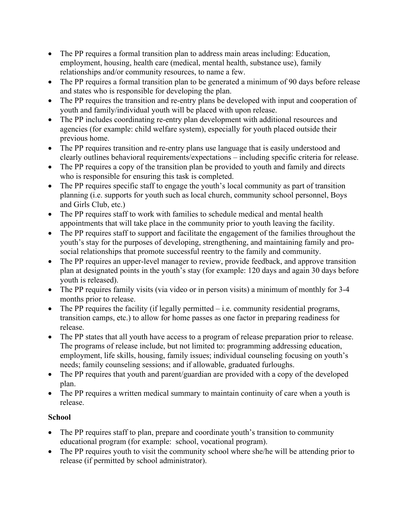- The PP requires a formal transition plan to address main areas including: Education, employment, housing, health care (medical, mental health, substance use), family relationships and/or community resources, to name a few.
- The PP requires a formal transition plan to be generated a minimum of 90 days before release and states who is responsible for developing the plan.
- The PP requires the transition and re-entry plans be developed with input and cooperation of youth and family/individual youth will be placed with upon release.
- The PP includes coordinating re-entry plan development with additional resources and agencies (for example: child welfare system), especially for youth placed outside their previous home.
- The PP requires transition and re-entry plans use language that is easily understood and clearly outlines behavioral requirements/expectations – including specific criteria for release.
- The PP requires a copy of the transition plan be provided to youth and family and directs who is responsible for ensuring this task is completed.
- The PP requires specific staff to engage the youth's local community as part of transition planning (i.e. supports for youth such as local church, community school personnel, Boys and Girls Club, etc.)
- The PP requires staff to work with families to schedule medical and mental health appointments that will take place in the community prior to youth leaving the facility.
- The PP requires staff to support and facilitate the engagement of the families throughout the youth's stay for the purposes of developing, strengthening, and maintaining family and prosocial relationships that promote successful reentry to the family and community.
- The PP requires an upper-level manager to review, provide feedback, and approve transition plan at designated points in the youth's stay (for example: 120 days and again 30 days before youth is released).
- The PP requires family visits (via video or in person visits) a minimum of monthly for 3-4 months prior to release.
- The PP requires the facility (if legally permitted  $-$  i.e. community residential programs, transition camps, etc.) to allow for home passes as one factor in preparing readiness for release.
- The PP states that all youth have access to a program of release preparation prior to release. The programs of release include, but not limited to: programming addressing education, employment, life skills, housing, family issues; individual counseling focusing on youth's needs; family counseling sessions; and if allowable, graduated furloughs.
- The PP requires that youth and parent/guardian are provided with a copy of the developed plan.
- The PP requires a written medical summary to maintain continuity of care when a youth is release.

## **School**

- The PP requires staff to plan, prepare and coordinate youth's transition to community educational program (for example: school, vocational program).
- The PP requires youth to visit the community school where she/he will be attending prior to release (if permitted by school administrator).